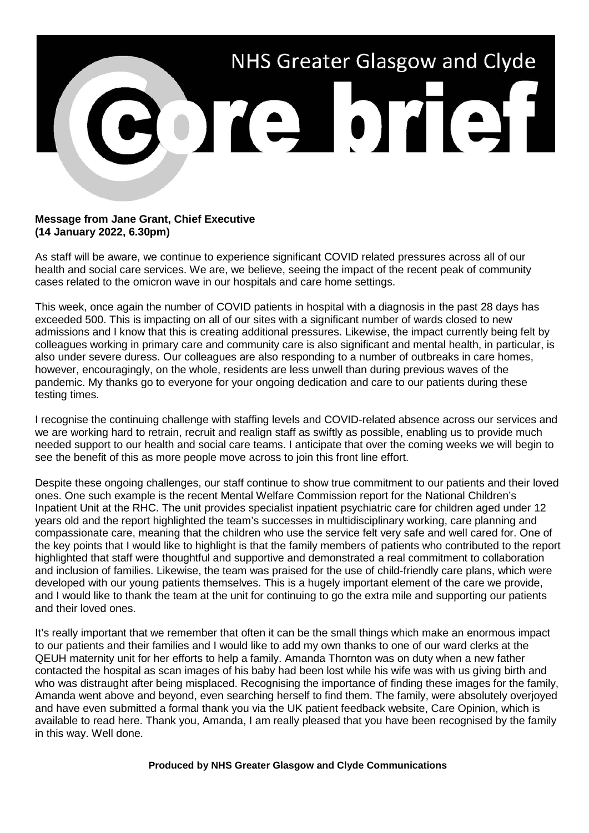

## **Message from Jane Grant, Chief Executive (14 January 2022, 6.30pm)**

As staff will be aware, we continue to experience significant COVID related pressures across all of our health and social care services. We are, we believe, seeing the impact of the recent peak of community cases related to the omicron wave in our hospitals and care home settings.

This week, once again the number of COVID patients in hospital with a diagnosis in the past 28 days has exceeded 500. This is impacting on all of our sites with a significant number of wards closed to new admissions and I know that this is creating additional pressures. Likewise, the impact currently being felt by colleagues working in primary care and community care is also significant and mental health, in particular, is also under severe duress. Our colleagues are also responding to a number of outbreaks in care homes, however, encouragingly, on the whole, residents are less unwell than during previous waves of the pandemic. My thanks go to everyone for your ongoing dedication and care to our patients during these testing times.

I recognise the continuing challenge with staffing levels and COVID-related absence across our services and we are working hard to retrain, recruit and realign staff as swiftly as possible, enabling us to provide much needed support to our health and social care teams. I anticipate that over the coming weeks we will begin to see the benefit of this as more people move across to join this front line effort.

Despite these ongoing challenges, our staff continue to show true commitment to our patients and their loved ones. One such example is the recent Mental Welfare Commission report for the National Children's Inpatient Unit at the RHC. The unit provides specialist inpatient psychiatric care for children aged under 12 years old and the report highlighted the team's successes in multidisciplinary working, care planning and compassionate care, meaning that the children who use the service felt very safe and well cared for. One of the key points that I would like to highlight is that the family members of patients who contributed to the report highlighted that staff were thoughtful and supportive and demonstrated a real commitment to collaboration and inclusion of families. Likewise, the team was praised for the use of child-friendly care plans, which were developed with our young patients themselves. This is a hugely important element of the care we provide, and I would like to thank the team at the unit for continuing to go the extra mile and supporting our patients and their loved ones.

It's really important that we remember that often it can be the small things which make an enormous impact to our patients and their families and I would like to add my own thanks to one of our ward clerks at the QEUH maternity unit for her efforts to help a family. Amanda Thornton was on duty when a new father contacted the hospital as scan images of his baby had been lost while his wife was with us giving birth and who was distraught after being misplaced. Recognising the importance of finding these images for the family, Amanda went above and beyond, even searching herself to find them. The family, were absolutely overjoyed and have even submitted a formal thank you via the UK patient feedback website, Care Opinion, which is available to read here. Thank you, Amanda, I am really pleased that you have been recognised by the family in this way. Well done.

## **Produced by NHS Greater Glasgow and Clyde Communications**